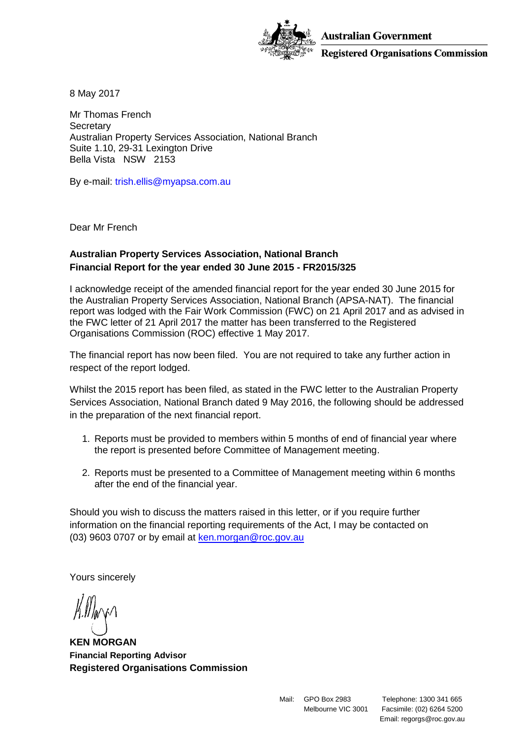

**Australian Government Registered Organisations Commission** 

8 May 2017

Mr Thomas French **Secretary** Australian Property Services Association, National Branch Suite 1.10, 29-31 Lexington Drive Bella Vista NSW 2153

By e-mail: trish.ellis@myapsa.com.au

Dear Mr French

# **Australian Property Services Association, National Branch Financial Report for the year ended 30 June 2015 - FR2015/325**

I acknowledge receipt of the amended financial report for the year ended 30 June 2015 for the Australian Property Services Association, National Branch (APSA-NAT). The financial report was lodged with the Fair Work Commission (FWC) on 21 April 2017 and as advised in the FWC letter of 21 April 2017 the matter has been transferred to the Registered Organisations Commission (ROC) effective 1 May 2017.

The financial report has now been filed. You are not required to take any further action in respect of the report lodged.

Whilst the 2015 report has been filed, as stated in the FWC letter to the Australian Property Services Association, National Branch dated 9 May 2016, the following should be addressed in the preparation of the next financial report.

- 1. Reports must be provided to members within 5 months of end of financial year where the report is presented before Committee of Management meeting.
- 2. Reports must be presented to a Committee of Management meeting within 6 months after the end of the financial year.

Should you wish to discuss the matters raised in this letter, or if you require further information on the financial reporting requirements of the Act, I may be contacted on (03) 9603 0707 or by email at [ken.morgan@roc.gov.au](mailto:ken.morgan@roc.gov.au)

Yours sincerely

**KEN MORGAN Financial Reporting Advisor Registered Organisations Commission**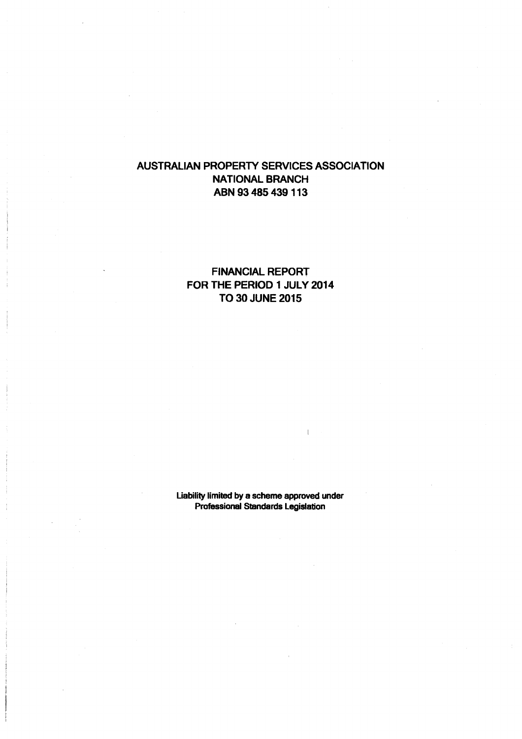# FINANCIAL REPORT FOR THE PERIOD 1 JULY 2014 TO 30 JUNE 2015

Liability limited by a scheme approved under Professional Standards Legislation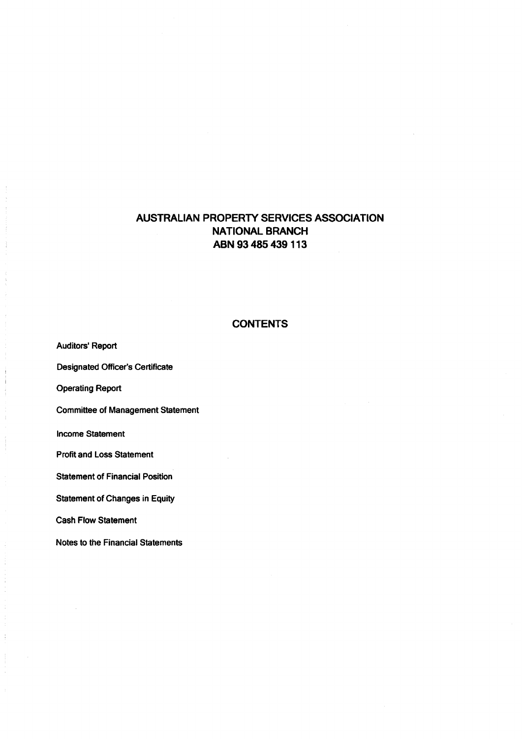### **CONTENTS**

Auditors' Report Designated Officer's Certificate Operating Report Committee of Management Statement Income Statement Profit and Loss Statement Statement of Financial Position Statement of Changes in Equity Cash Flow Statement

Notes to the Financial Statements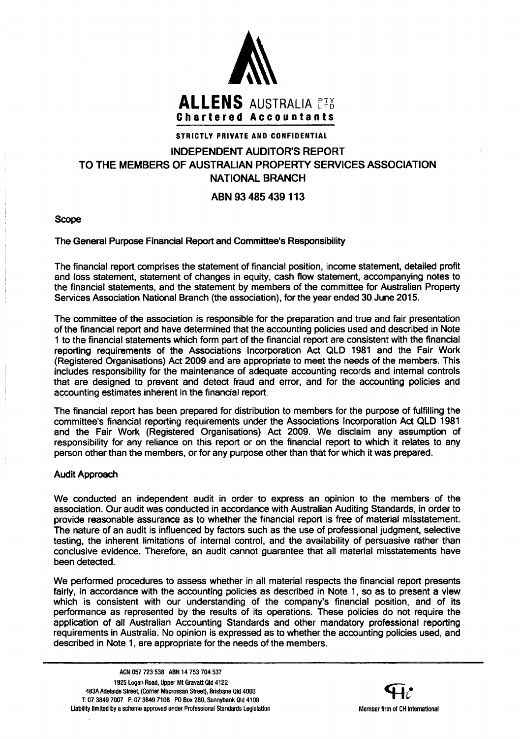

# STRICTLY PRIVATE AND CONFIDENTIAL

# INDEPENDENT AUDITOR'S REPORT TO THE MEMBERS OF AUSTRALIAN PROPERTY SERVICES ASSOCIATION NATIONAL BRANCH

# ABN 93 485 439 113

Scope

#### The General Purpose Financial Report and Committee's Responsibility

The financial report comprises the statement of financial position, income statement, detailed profit and loss statement, statement of changes in equity, cash flow statement, accompanying notes to the financial statements, and the statement by members of the committee for Australian Property Services Association National Branch (the association), for the year ended 30 June 2015.

The committee of the association is responsible for the preparation and true and fair presentation of the financial report and have determined that the accounting policies used and described in Note 1 to the financial statements which form part of the financial report are consistent with the financial reporting requirements of the Associations Incorporation Act QLD 1981 and the Fair Work (Registered Organisations) Act 2009 and are appropriate to meet the needs of the members. This includes responsibility for the maintenance of adequate accounting records and internal controls that are designed to prevent and detect fraud and error, and for the accounting policies and accounting estimates inherent in the financial report.

The financial report has been prepared for distribution to members for the purpose of fulfilling the committee's financial reporting requirements under the Associations Incorporation Act QLD 1981 and the Fair Work (Registered Organisations) Act 2009. We disclaim any assumption of responsibility for any reliance on this report or on the financial report to which it relates to any person other than the members, or for any purpose other than that for which it was prepared.

#### Audit Approach

We conducted an independent audit in order to express an opinion to the members of the association. Our audit was conducted in accordance with Australian Auditing Standards, in order to provide reasonable assurance as to whether the financial report is free of material misstatement. The nature of an audit is influenced by factors such as the use of professional judgment, selective testing, the inherent limitations of internal control, and the availability of persuasive rather than conclusive evidence. Therefore, an audit cannot guarantee that all material misstatements have been detected.

We performed procedures to assess whether in all material respects the financial report presents fairly, in accordance with the accounting policies as described in Note 1, so as to present a view which is consistent with our understanding of the company's financial position, and of its performance as represented by the results of its operations. These policies do not require the application of all Australian Accounting Standards and other mandatory professional reporting requirements in Australia. No opinion is expressed as to whether the accounting policies used, and described in Note 1, are appropriate for the needs of the members.

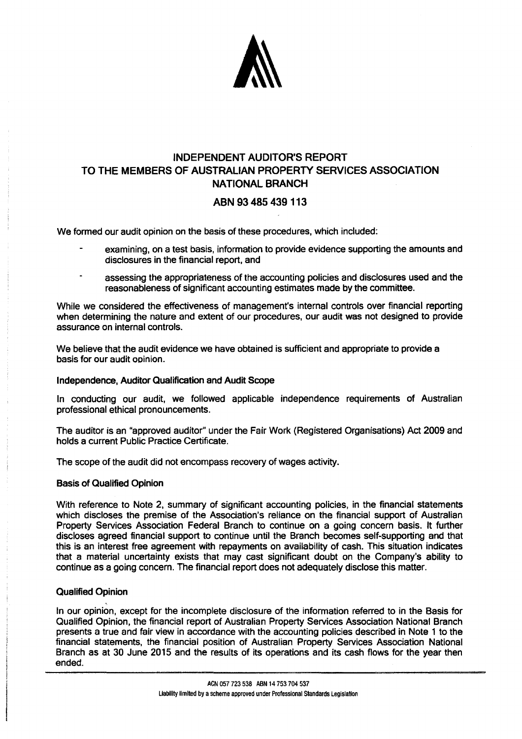

# INDEPENDENT AUDITOR'S REPORT TO THE MEMBERS OF AUSTRALIAN PROPERTY SERVICES ASSOCIATION NATIONAL BRANCH

# ABN 93 485 439 113

We formed our audit opinion on the basis of these procedures, which included:

- examining, on a test basis, information to provide evidence supporting the amounts and disclosures in the financial report, and
- assessing the appropriateness of the accounting policies and disclosures used and the reasonableness of significant accounting estimates made by the committee.

While we considered the effectiveness of management's internal controls over financial reporting when determining the nature and extent of our procedures, our audit was not designed to provide assurance on internal controls.

We believe that the audit evidence we have obtained is sufficient and appropriate to provide a basis for our audit ooinion.

#### Independence, Auditor Qualification and Audit Scope

In conducting our audit, we followed applicable independence requirements of Australian professional ethical pronouncements.

The auditor is an "approved auditor" under the Fair Work (Registered Organisations) Act 2009 and holds a current Public Practice Certificate.

The scope of the audit did not encompass recovery of wages activity.

#### Basis of Qualified Opinion

With reference to Note 2, summary of significant accounting policies, in the financial statements which discloses the premise of the Association's reliance on the financial support of Australian Property Services Association Federal Branch to continue on a going concern basis. It further discloses agreed financial support to continue until the Branch becomes self-supporting and that this is an interest free agreement with repayments on availability of cash. This situation indicates that a material uncertainty exists that may cast significant doubt on the Company's ability to continue as a going concern. The financial report does not adequately disclose this matter.

#### Qualified Opinion

In our opinion, except for the incomplete disclosure of the information referred to in the Basis for Qualified Opinion, the financial report of Australian Property Services Association National Branch presents a true and fair view in accordance with the accounting policies described in Note 1 to the financial statements, the financial position of Australian Property Services Association National Branch as at 30 June 2015 and the results of its operations and its cash flows for the year then ended.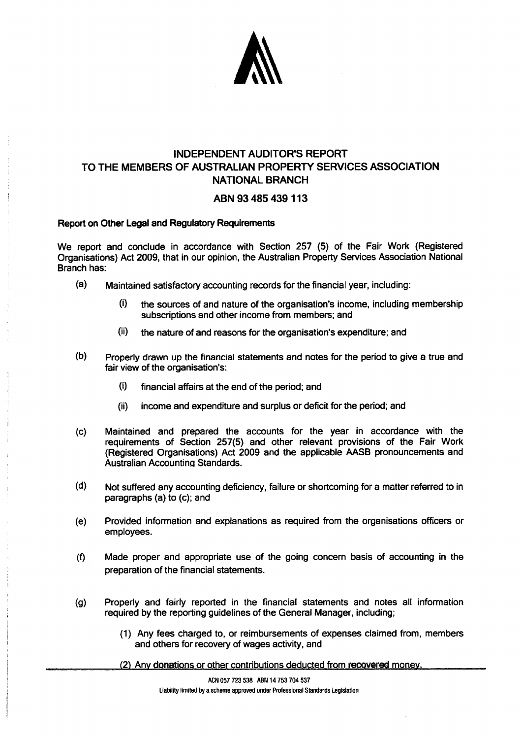

# INDEPENDENT AUDITOR'S REPORT TO THE MEMBERS OF AUSTRALIAN PROPERTY SERVICES ASSOCIATION NATIONAL BRANCH

### ABN 93 485 439 113

#### Report on Other Legal and Regulatory Requirements

We report and conclude in accordance with Section 257 (5) of the Fair Work (Registered Organisations) Act 2009, that in our opinion, the Australian Property Services Association National Branch has:

- (a) Maintained satisfactory accounting records for the financial year, including:
	- $(i)$  the sources of and nature of the organisation's income, including membership subscriptions and other income from members; and
	- (ii) the nature of and reasons for the organisation's expenditure; and
- (b) Properly drawn up the financial statements and notes for the period to give a true and fair view of the organisation's:
	- (i) financial affairs at the end of the period; and
	- (ii) income and expenditure and surplus or deficit for the period; and
- (c) Maintained and prepared the accounts for the year in accordance with the requirements of Section 257(5) and other relevant provisions of the Fair Work (Registered Organisations) Act 2009 and the applicable AASB pronouncements and Australian Accountina Standards.
- (d) Not suffered any accounting deficiency, failure or shortcoming for a matter referred to in paragraphs (a) to (c); and
- (e) Provided information and explanations as required from the organisations officers or employees.
- (f) Made proper and appropriate use of the going concern basis of accounting in the preparation of the financial statements.
- (g) Properly and fairly reported in the financial statements and notes all information required by the reporting guidelines of the General Manager, including;
	- (1) Any fees charged to, or reimbursements of expenses claimed from, members and others for recovery of wages activity, and
	- (2) Any donations or other contributions deducted from recovered money.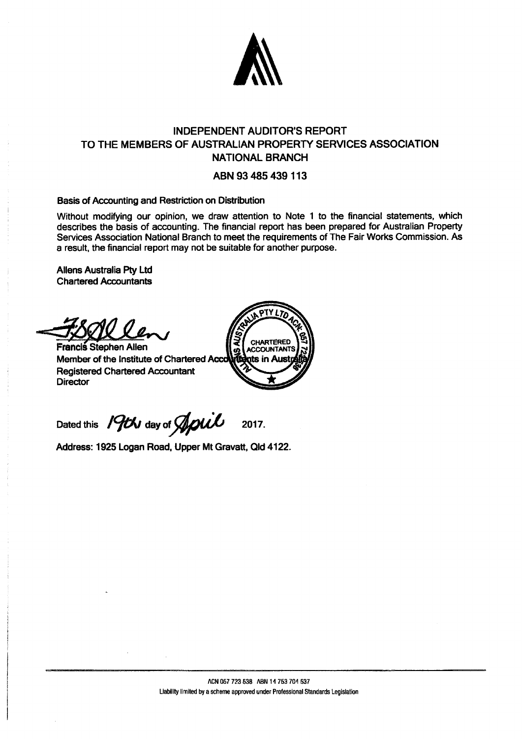

# INDEPENDENT AUDITOR'S REPORT TO THE MEMBERS OF AUSTRALIAN PROPERTY SERVICES ASSOCIATION NATIONAL BRANCH

### ABN 93 485 439113

#### Basis of Accounting and Restriction on Distribution

Without modifying our opinion, we draw attention to Note 1 to the financial statements, which describes the basis of accounting. The financial report has been prepared for Australian Property Services Association National Branch to meet the requirements of The Fair Works Commission. As a result, the financial report may not be suitable for another purpose.

Aliens Australia Pty Ltd Chartered Accountants

**Francis Stephen Allen** Member of the Institute of Chartered Acc **Registered Chartered Accountant Director** 



Dated this 19th day of April 2017.

Address: 1925 Logan Road, Upper Mt Gravatt, Qld 4122.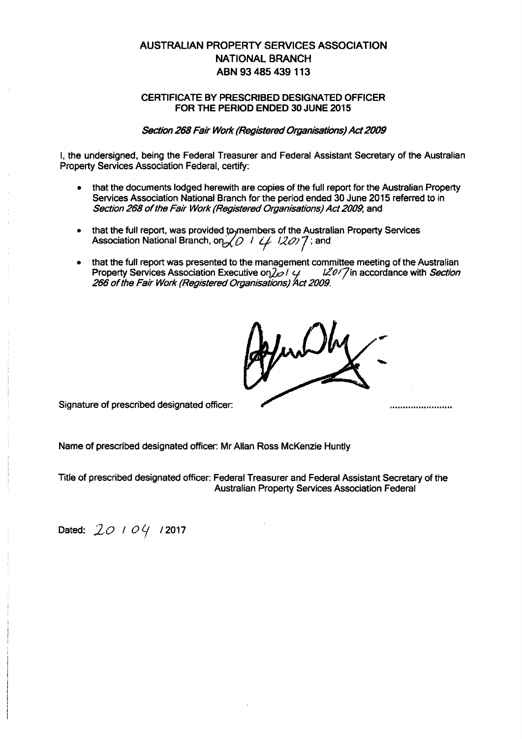#### CERTIFICATE BY PRESCRIBED DESIGNATED OFFICER FOR THE PERIOD ENDED 30 JUNE 2015

#### Section 268 Fair Work (Registered Organisations) Act 2009

I, the undersigned, being the Federal Treasurer and Federal Assistant Secretary of the Australian Property Services Association Federal, certify:

- that the documents lodged herewith are copies of the full report for the Australian Property Services Association National Branch for the period ended 30 June 2015 referred to in Section 268 of the Fair Work (Registered Organisations) Act 2009, and
- that the full report, was provided to members of the Australian Property Services Association National Branch, on XO 1 4 12077; and
- that the full report was presented to the management committee meeting of the Australian<br>Property Services Association Executive on  $\frac{1}{2}$  /  $\frac{1}{4}$  /  $\frac{120}{7}$  in accordance with *Section* Property Services Association Executive on  $\mathcal{J}_{\mathcal{O}}$  /  $\mathcal{L}_{\mathcal{I}}$ 266 of the Fair Work (Registered Organisations) Act 2009.

inDhy

Signature of prescribed designated officer:

Name of prescribed designated officer: Mr Allan Ross McKenzie Huntly

Title of prescribed designated officer: Federal Treasurer and Federal Assistant Secretary of the Australian Property Services Association Federal

Dated: 20 *1 0 4* 12017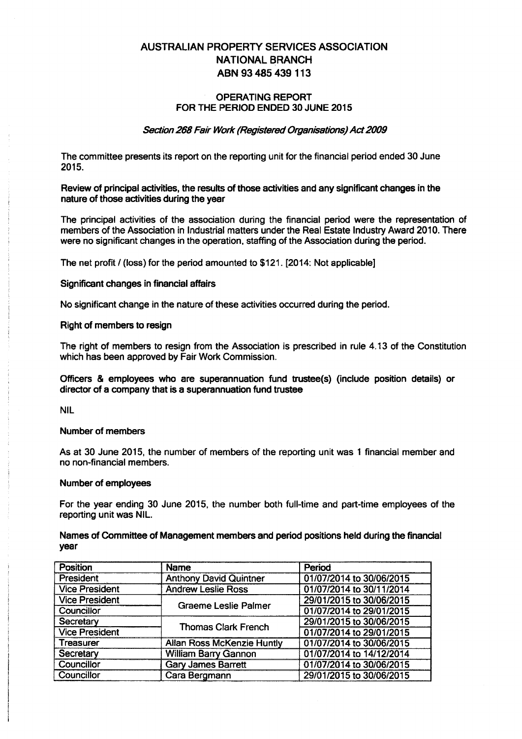#### OPERATING REPORT FOR THE PERIOD ENDED 30 JUNE 2015

#### Section 268 Fair Work (Registered Organisations) Act 2009

The committee presents its report on the reporting unit for the financial period ended 30 June 2015.

Review of principal activities, the results of those activities and any significant changes in the nature of those adivities during the year

The principal activities of the association during the financial period were the representation of members of the Association in Industrial matters under the Real Estate Industry Award 2010. There were no significant changes in the operation, staffing of the Association during the period.

The net profit / (loss) for the period amounted to \$121. [2014: Not applicable]

#### Significant changes in financial affairs

No significant change in the nature of these activities occurred during the period.

#### Right of members to resign

The right of members to resign from the Association is prescribed in rule 4.13 of the Constitution which has been approved by Fair Work Commission.

Officers & employees who are superannuation fund trustee(s) (include position details) or diredor of a company that is a superannuation fund trustee

NIL

#### Number of members

As at 30 June 2015, the number of members of the reporting unit was 1 financial member and no non-financial members.

#### Number of employees

For the year ending 30 June 2015, the number both full-time and part-time employees of the reporting unit was NIL.

#### Names of Committee of Management members and period positions held during the financial year

| <b>Position</b>       | <b>Name</b>                       | Period                   |
|-----------------------|-----------------------------------|--------------------------|
| <b>President</b>      | <b>Anthony David Quintner</b>     | 01/07/2014 to 30/06/2015 |
| <b>Vice President</b> | <b>Andrew Leslie Ross</b>         | 01/07/2014 to 30/11/2014 |
| <b>Vice President</b> | <b>Graeme Leslie Palmer</b>       | 29/01/2015 to 30/06/2015 |
| Councillor            |                                   | 01/07/2014 to 29/01/2015 |
| Secretary             | <b>Thomas Clark French</b>        | 29/01/2015 to 30/06/2015 |
| <b>Vice President</b> |                                   | 01/07/2014 to 29/01/2015 |
| Treasurer             | <b>Allan Ross McKenzie Huntly</b> | 01/07/2014 to 30/06/2015 |
| Secretary             | <b>William Barry Gannon</b>       | 01/07/2014 to 14/12/2014 |
| Councillor            | <b>Gary James Barrett</b>         | 01/07/2014 to 30/06/2015 |
| Councillor            | Cara Bergmann                     | 29/01/2015 to 30/06/2015 |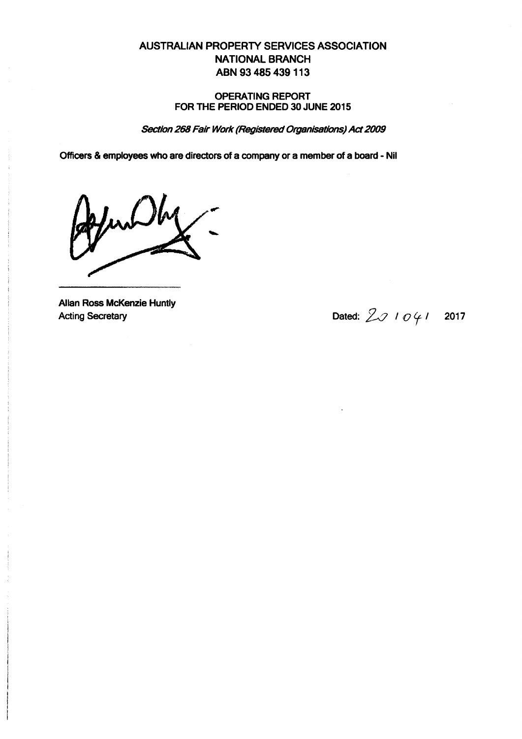#### OPERATING REPORT FOR THE PERIOD ENDED 30 JUNE 2015

Section 268 Fair Work (Registered Organisations) Act 2009

Officers & employees who are directors of a company or a member of a board - Nil

JunDby-

Allan Ross McKenzie Huntly

Acting Secretary Dated:  $2017$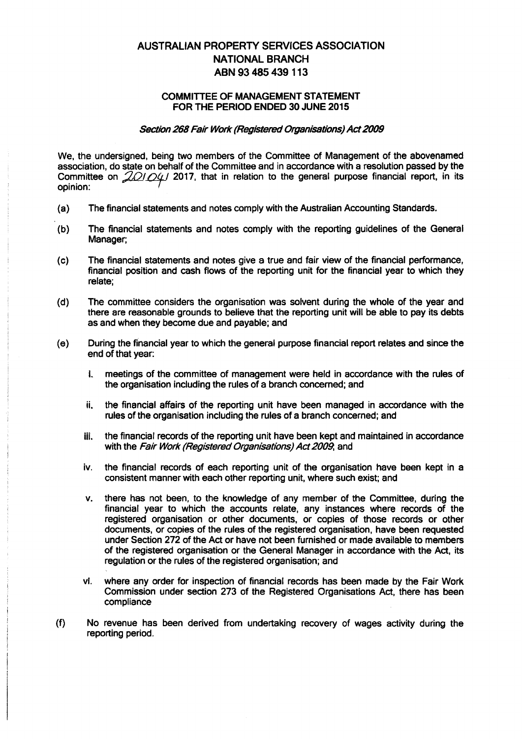#### COMMITTEE OF MANAGEMENT STATEMENT FOR THE PERIOD ENDED 30 JUNE 2015

#### Section 268 Fair Work (Registered Organisations) Act 2009

We, the undersigned, being two members of the Committee of Management of the abovenamed association, do state on behalf of the Committee and in accordance with a resolution passed by the Committee on *2/21/24*/2017, that in relation to the general purpose financial report, in its opinion:

- (a) The financial statements and notes comply with the Australian Accounting Standards.
- (b) The financial statements and notes comply with the reporting guidelines of the General Manager;
- (c) The financial statements and notes give a true and fair view of the financial performance, financial position and cash flows of the reporting unit for the financial year to which they relate;
- (d) The committee considers the organisation was solvent during the whole of the year and there are reasonable grounds to believe that the reporting unit will be able to pay its debts as and when they become due and payable; and
- (e) During the financial year to which the general purpose financial report relates and since the end of that year:
	- i. meetings of the committee of management were held in accordance with the rules of the organisation including the rules of a branch concerned; and
	- ii. the financial affairs of the reporting unit have been managed in accordance with the rules of the organisation including the rules of a branch concerned; and
	- Ill. the financial records of the reporting unit have been kept and maintained in accordance with the Fair Work (Registered Organisations) Act 2009, and
	- iv. the financial records of each reporting unit of the organisation have been kept in a consistent manner with each other reporting unit, where such exist; and
	- v. there has not been, to the knowledge of any member of the Committee, during the financial year to which the accounts relate, any instances where records of the registered organisation or other documents, or copies of those records or other documents, or copies of the rules of the registered organisation, have been requested under Section 272 of the Act or have not been furnished or made available to members of the registered organisation or the General Manager in accordance with the Act, its regulation or the rules of the registered organisation; and
	- vi. where any order for inspection of financial records has been made by the Fair Work Commission under section 273 of the Registered Organisations Act, there has been compliance
- (f) No revenue has been derived from undertaking recovery of wages activity during the reporting period.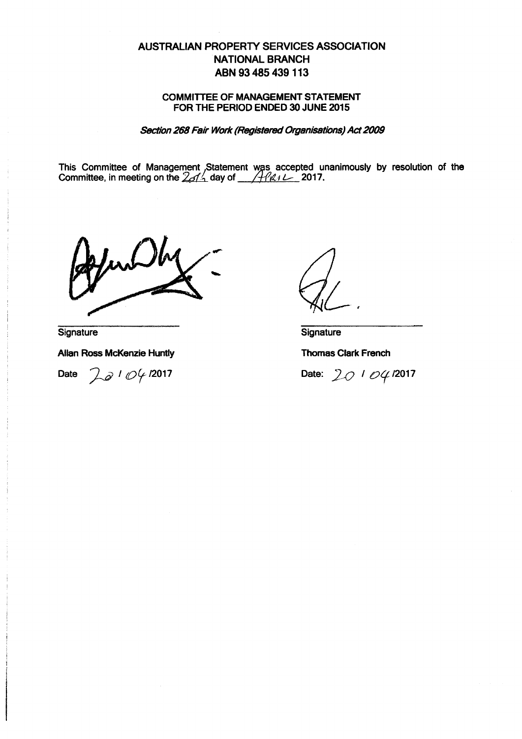#### COMMITTEE OF MANAGEMENT STATEMENT FOR THE PERIOD ENDED 30 JUNE 2015

Section 268 Fair Work (Registered Organisations) Act 2009

This Committee of Management Statement was accepted unanimously by resolution of the Committee, in meeting on the  $2dA$  day of  $4d\ell$  2017. Committee, in meeting on the  $2d/4$  day of  $1/44d/12$ -2017.

**Signature** 

Allan Ross McKenzie Huntly

Date *La* 1 04 12017

**Signature** 

Thomas Clark French

Date: 20<sup>1</sup> 04<sup>12017</sup>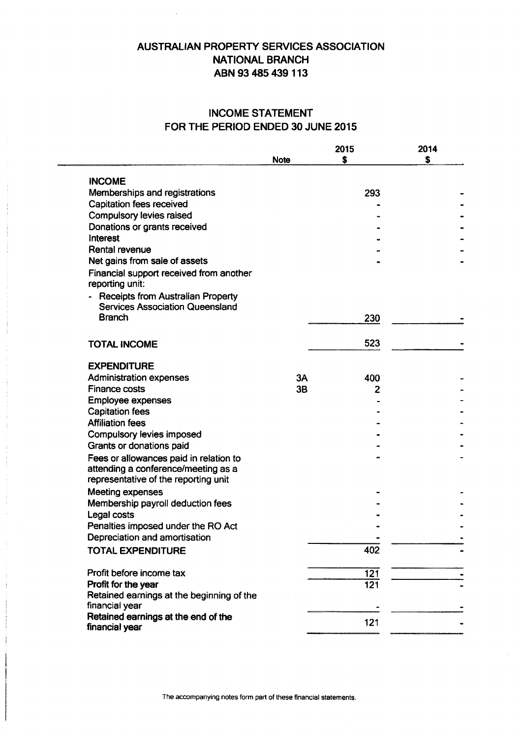# INCOME STATEMENT FOR THE PERIOD ENDED 30 JUNE 2015

|                                                             |             | 2015             | 2014 |
|-------------------------------------------------------------|-------------|------------------|------|
|                                                             | <b>Note</b> | Ŝ                | S    |
|                                                             |             |                  |      |
| <b>INCOME</b>                                               |             |                  |      |
| Memberships and registrations                               |             | 293              |      |
| <b>Capitation fees received</b>                             |             |                  |      |
| Compulsory levies raised                                    |             |                  |      |
| Donations or grants received<br>Interest                    |             |                  |      |
| <b>Rental revenue</b>                                       |             |                  |      |
| Net gains from sale of assets                               |             |                  |      |
|                                                             |             |                  |      |
| Financial support received from another<br>reporting unit:  |             |                  |      |
| <b>Receipts from Australian Property</b>                    |             |                  |      |
| <b>Services Association Queensland</b>                      |             |                  |      |
| <b>Branch</b>                                               |             | 230              |      |
| <b>TOTAL INCOME</b>                                         |             | 523              |      |
| <b>EXPENDITURE</b>                                          |             |                  |      |
| <b>Administration expenses</b>                              | 3A          | 400              |      |
| <b>Finance costs</b>                                        | 3B          | 2                |      |
| <b>Employee expenses</b>                                    |             |                  |      |
| <b>Capitation fees</b>                                      |             |                  |      |
| <b>Affiliation fees</b>                                     |             |                  |      |
| Compulsory levies imposed                                   |             |                  |      |
| Grants or donations paid                                    |             |                  |      |
| Fees or allowances paid in relation to                      |             |                  |      |
| attending a conference/meeting as a                         |             |                  |      |
| representative of the reporting unit                        |             |                  |      |
| <b>Meeting expenses</b>                                     |             |                  |      |
| Membership payroll deduction fees                           |             |                  |      |
| Legal costs                                                 |             |                  |      |
| Penalties imposed under the RO Act                          |             |                  |      |
| Depreciation and amortisation                               |             |                  |      |
| <b>TOTAL EXPENDITURE</b>                                    |             | 402              |      |
| Profit before income tax                                    |             | $\overline{121}$ |      |
| Profit for the year                                         |             | 121              |      |
| Retained earnings at the beginning of the<br>financial year |             |                  |      |
| Retained earnings at the end of the                         |             |                  |      |
| financial year                                              |             | 121              |      |
|                                                             |             |                  |      |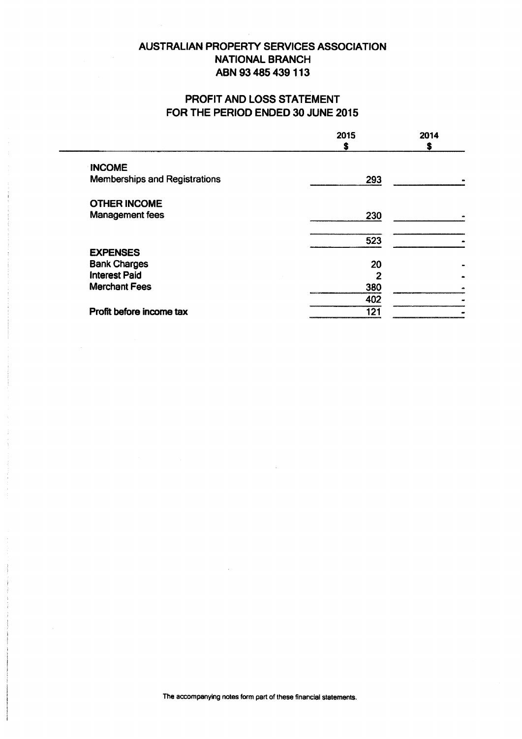# PROFIT AND LOSS STATEMENT FOR THE PERIOD ENDED 30 JUNE 2015

|                                      | 2015<br>S | 2014 |
|--------------------------------------|-----------|------|
| <b>INCOME</b>                        |           |      |
| <b>Memberships and Registrations</b> | 293       |      |
| <b>OTHER INCOME</b>                  |           |      |
| Management fees                      | 230       |      |
|                                      | 523       |      |
| <b>EXPENSES</b>                      |           |      |
| <b>Bank Charges</b>                  | 20        |      |
| <b>Interest Paid</b>                 | 2         |      |
| <b>Merchant Fees</b>                 | 380       |      |
|                                      | 402       |      |
| Profit before income tax             | 121       |      |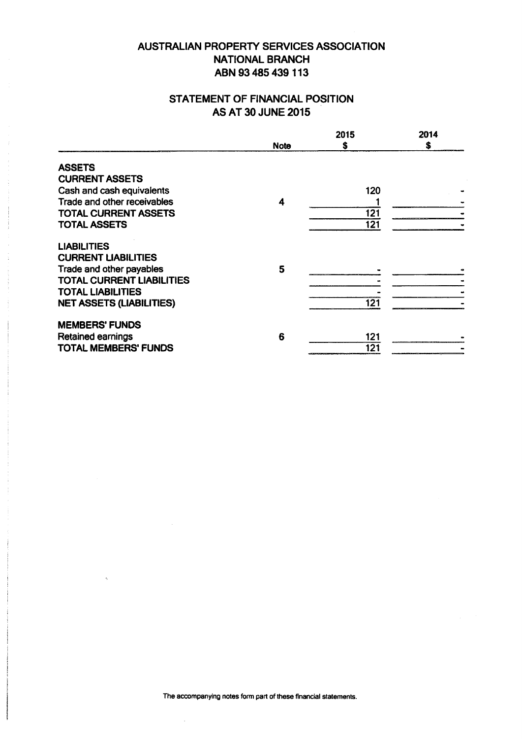# STATEMENT OF FINANCIAL POSITION AS AT 30 JUNE 2015

|                                  |             | 2015 | 2014 |
|----------------------------------|-------------|------|------|
|                                  | <b>Note</b> | S    | S    |
| <b>ASSETS</b>                    |             |      |      |
| <b>CURRENT ASSETS</b>            |             |      |      |
| Cash and cash equivalents        |             | 120  |      |
| Trade and other receivables      | 4           |      |      |
| <b>TOTAL CURRENT ASSETS</b>      |             | 121  |      |
| <b>TOTAL ASSETS</b>              |             | 121  |      |
| <b>LIABILITIES</b>               |             |      |      |
| <b>CURRENT LIABILITIES</b>       |             |      |      |
| Trade and other payables         | 5           |      |      |
| <b>TOTAL CURRENT LIABILITIES</b> |             |      |      |
| <b>TOTAL LIABILITIES</b>         |             |      |      |
| <b>NET ASSETS (LIABILITIES)</b>  |             | 121  |      |
| <b>MEMBERS' FUNDS</b>            |             |      |      |
| <b>Retained earnings</b>         | 6           | 121  |      |
| <b>TOTAL MEMBERS' FUNDS</b>      |             | 121  |      |

The accompanying notes form part of these financial statements.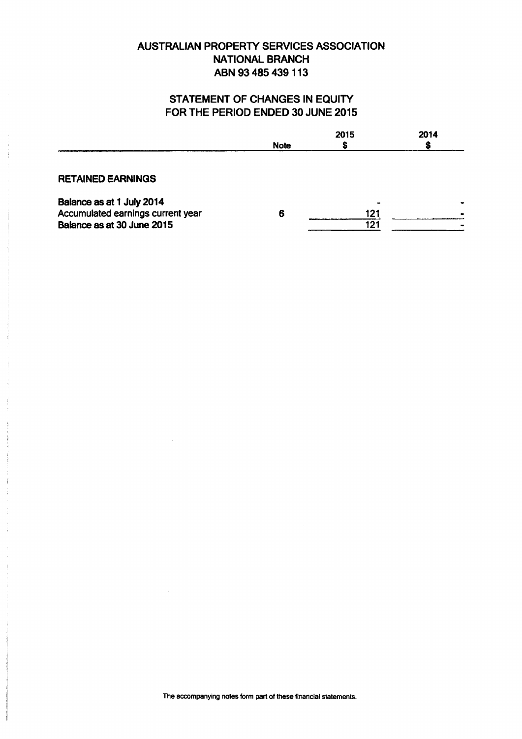# STATEMENT OF CHANGES IN EQUITY FOR THE PERIOD ENDED 30 JUNE 2015

|                                                                | <b>Note</b> | 2015 | 2014 |
|----------------------------------------------------------------|-------------|------|------|
| <b>RETAINED EARNINGS</b>                                       |             |      |      |
| Balance as at 1 July 2014<br>Accumulated earnings current year | 6           | 121  |      |
| Balance as at 30 June 2015                                     |             | 121  |      |

The accompanying notes form part of these financial statements.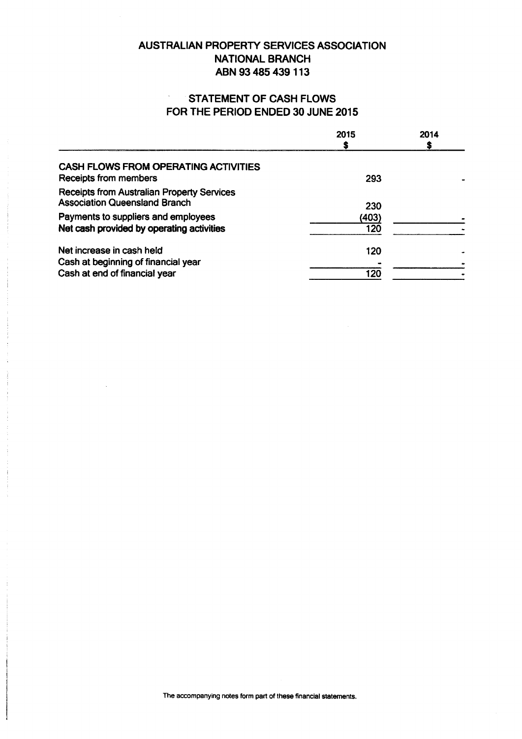# STATEMENT OF CASH FLOWS FOR THE PERIOD ENDED 30 JUNE 2015

|                                                                                                   | 2015         | 2014 |
|---------------------------------------------------------------------------------------------------|--------------|------|
| <b>CASH FLOWS FROM OPERATING ACTIVITIES</b><br>Receipts from members                              | 293          |      |
| <b>Receipts from Australian Property Services</b><br><b>Association Queensland Branch</b>         | 230          |      |
| Payments to suppliers and employees<br>Net cash provided by operating activities                  | (403)<br>120 |      |
| Net increase in cash held<br>Cash at beginning of financial year<br>Cash at end of financial year | 120<br>120   |      |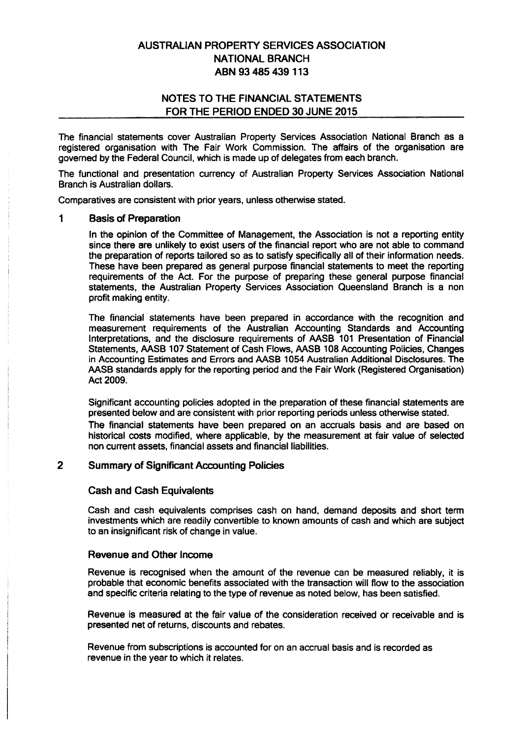### NOTES TO THE FINANCIAL STATEMENTS FOR THE PERIOD ENDED 30 JUNE 2015

The financial statements cover Australian Property Services Association National Branch as a registered organisation with The Fair Work Commission. The affairs of the organisation are governed by the Federal Council, which is made up of delegates from each branch.

The functional and presentation currency of Australian Property Services Association National Branch is Australian dollars.

Comparatives are consistent with prior years, unless otherwise stated.

#### 1 Basis of Preparation

In the opinion of the Committee of Management, the Association is not a reporting entity since there are unlikely to exist users of the financial report who are not able to command the preparation of reports tailored so as to satisfy specifically all of their information needs. These have been prepared as general purpose financial statements to meet the reporting requirements of the Act. For the purpose of preparing these general purpose financial statements, the Australian Property Services Association Queensland Branch is a non profit making entity.

The financial statements have been prepared in accordance with the recognition and measurement requirements of the Australian Accounting Standards and Accounting Interpretations, and the disclosure requirements of AASB 101 Presentation of Financial Statements, AASB 107 Statement of Cash Flows, AASB 108 Accounting Policies, Changes in Accounting Estimates and Errors and AASB 1054 Australian Additional Disclosures. The AASB standards apply for the reporting period and the Fair Work (Registered Organisation) Act 2009.

Significant accounting policies adopted in the preparation of these financial statements are presented below and are consistent with prior reporting periods unless otherwise stated.

The financial statements have been prepared on an accruals basis and are based on historical costs modified, where applicable, by the measurement at fair value of selected non current assets, financial assets and financial liabilities.

#### 2 Summary of Significant Accounting Policies

#### Cash and Cash Equivalents

Cash and cash equivalents comprises cash on hand, demand deposits and short term investments which are readily convertible to known amounts of cash and which are subject to an insignificant risk of change in value.

#### Revenue and Other Income

Revenue is recognised when the amount of the revenue can be measured reliably, it is probable that economic benefits associated with the transaction will flow to the association and specific criteria relating to the type of revenue as noted below, has been satisfied.

Revenue is measured at the fair value of the consideration received or receivable and is presented net of returns, discounts and rebates.

Revenue from subscriptions is accounted for on an accrual basis and is recorded as revenue in the year to which it relates.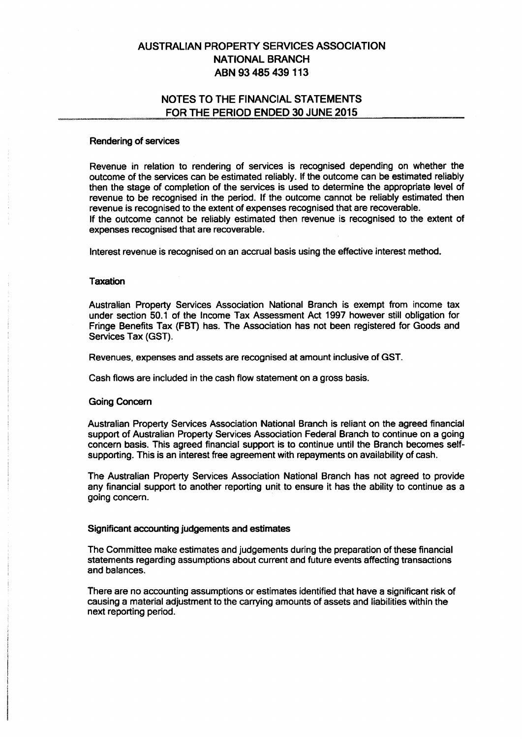### NOTES TO THE FINANCIAL STATEMENTS FOR THE PERIOD ENDED 30 JUNE 2015

#### Rendering of services

Revenue in relation to rendering of services is recognised depending on whether the outcome of the services can be estimated reliably. If the outcome can be estimated reliably then the stage of completion of the services is used to determine the appropriate level of revenue to be recognised in the period. If the outcome cannot be reliably estimated then revenue is recognised to the extent of expenses recognised that are recoverable. If the outcome cannot be reliably estimated then revenue is recognised to the extent of expenses recognised that are recoverable.

Interest revenue is recognised on an accrual basis using the effective interest method.

#### **Taxation**

Australian Property Services Association National Branch is exempt from income tax under section 50.1 of the Income Tax Assessment Act 1997 however still obligation for Fringe Benefits Tax (FBT) has. The Association has not been registered for Goods and Services Tax (GST).

Revenues, expenses and assets are recognised at amount inclusive of GST.

Cash flows are included in the cash flow statement on a gross basis.

#### Going Concern

Australian Property Services Association National Branch is reliant on the agreed financial support of Australian Property Services Association Federal Branch to continue on a going concern basis. This agreed financial support is to continue until the Branch becomes selfsupporting. This is an interest free agreement with repayments on availability of cash.

The Australian Property Services Association National Branch has not agreed to provide any financial support to another reporting unit to ensure it has the ability to continue as a going concern.

#### Significant accounting judgements and estimates

The Committee make estimates and judgements during the preparation of these financial statements regarding assumptions about current and future events affecting transactions and balances.

There are no accounting assumptions or estimates identified that have a significant risk of causing a material adjustment to the carrying amounts of assets and liabilities within the next reporting period.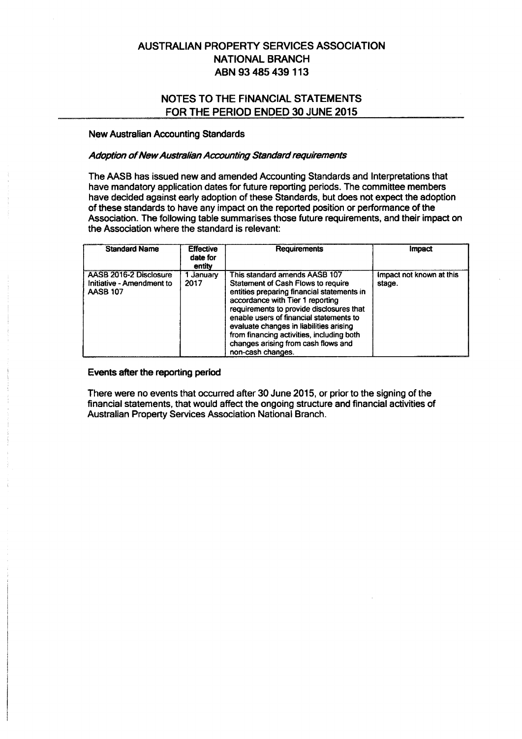### NOTES TO THE FINANCIAL STATEMENTS FOR THE PERIOD ENDED 30 JUNE 2015

#### New Australian Accounting Standards

#### Adoption of New Australian Accounting Standard requirements

The AASB has issued new and amended Accounting Standards and Interpretations that have mandatory application dates for future reporting periods. The committee members have decided against early adoption of these Standards, but does not expect the adoption of these standards to have any impact on the reported position or performance of the Association. The following table summarises those future requirements, and their impact on the Association where the standard is relevant:

| <b>Standard Name</b>                                                   | <b>Effective</b><br>date for<br>entity | <b>Requirements</b>                                                                                                                                                                                                                                                                                                                                                                                     | Impact                             |
|------------------------------------------------------------------------|----------------------------------------|---------------------------------------------------------------------------------------------------------------------------------------------------------------------------------------------------------------------------------------------------------------------------------------------------------------------------------------------------------------------------------------------------------|------------------------------------|
| AASB 2016-2 Disclosure<br>Initiative - Amendment to<br><b>AASB 107</b> | 1 Januarv<br>2017                      | This standard amends AASB 107<br><b>Statement of Cash Flows to require</b><br>entities preparing financial statements in<br>accordance with Tier 1 reporting<br>requirements to provide disclosures that<br>enable users of financial statements to<br>evaluate changes in liabilities arising<br>from financing activities, including both<br>changes arising from cash flows and<br>non-cash changes. | Impact not known at this<br>stage. |

#### Events after the reporting period

There were no events that occurred after 30 June 2015, or prior to the signing of the financial statements, that would affect the ongoing structure and financial activities of Australian Property Services Association National Branch.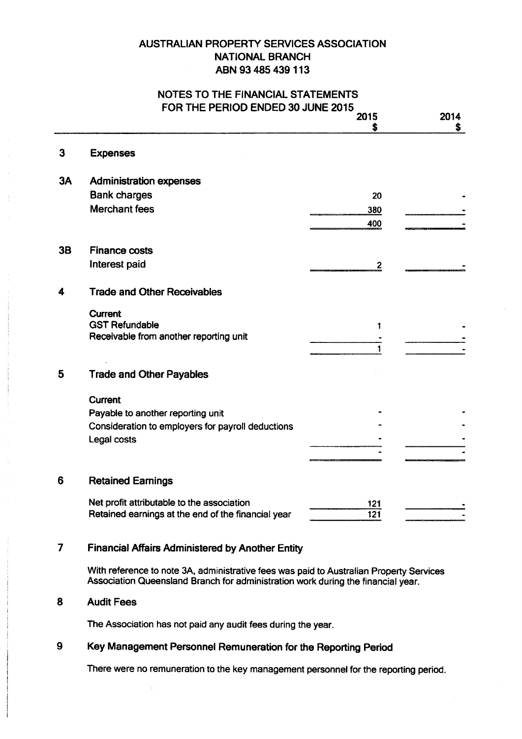### NOTES TO THE FINANCIAL STATEMENTS FOR THE PERIOD ENDED 30 JUNE 2015

|    | <b>FUR THE PERIOD ENDED 30 JUNE 2013</b><br>2015                                                                                                                            |     | 2014 |  |
|----|-----------------------------------------------------------------------------------------------------------------------------------------------------------------------------|-----|------|--|
|    |                                                                                                                                                                             | 5   | S.   |  |
| 3  | <b>Expenses</b>                                                                                                                                                             |     |      |  |
| 3A | <b>Administration expenses</b>                                                                                                                                              |     |      |  |
|    | <b>Bank charges</b>                                                                                                                                                         | 20  |      |  |
|    | <b>Merchant fees</b>                                                                                                                                                        | 380 |      |  |
|    |                                                                                                                                                                             | 400 |      |  |
| 3B | <b>Finance costs</b>                                                                                                                                                        |     |      |  |
|    | Interest paid                                                                                                                                                               | 2   |      |  |
| 4  | <b>Trade and Other Receivables</b>                                                                                                                                          |     |      |  |
|    | <b>Current</b>                                                                                                                                                              |     |      |  |
|    | <b>GST Refundable</b><br>Receivable from another reporting unit                                                                                                             |     |      |  |
|    |                                                                                                                                                                             |     |      |  |
| 5  | <b>Trade and Other Payables</b>                                                                                                                                             |     |      |  |
|    | <b>Current</b>                                                                                                                                                              |     |      |  |
|    | Payable to another reporting unit                                                                                                                                           |     |      |  |
|    | Consideration to employers for payroll deductions                                                                                                                           |     |      |  |
|    | Legal costs                                                                                                                                                                 |     |      |  |
|    |                                                                                                                                                                             |     |      |  |
| 6  | <b>Retained Earnings</b>                                                                                                                                                    |     |      |  |
|    | Net profit attributable to the association                                                                                                                                  | 121 |      |  |
|    | Retained earnings at the end of the financial year                                                                                                                          | 121 |      |  |
| 7  | <b>Financial Affairs Administered by Another Entity</b>                                                                                                                     |     |      |  |
|    | With reference to note 3A, administrative fees was paid to Australian Property Services<br>Association Queensland Branch for administration work during the financial year. |     |      |  |
| 8  | <b>Audit Fees</b>                                                                                                                                                           |     |      |  |
|    | The Association has not paid any audit fees during the year.                                                                                                                |     |      |  |
| 9  | Key Management Personnel Remuneration for the Reporting Period                                                                                                              |     |      |  |
|    | There were no remuneration to the key management personnel for the reporting period.                                                                                        |     |      |  |